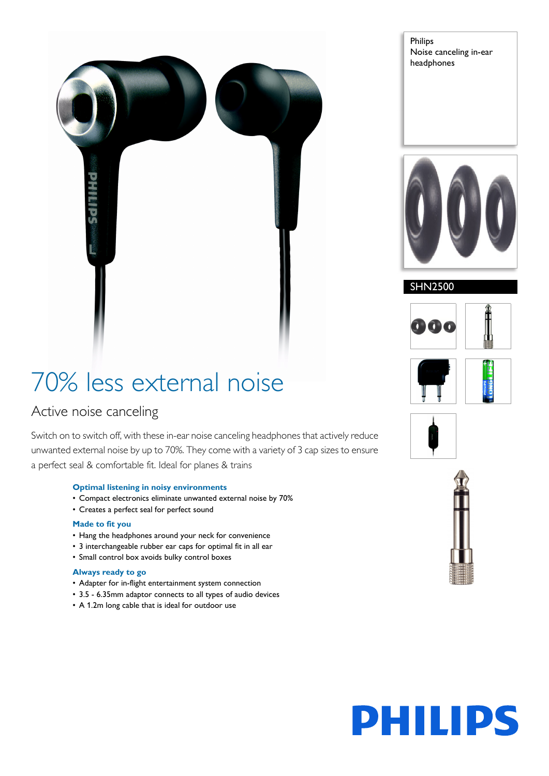

Philips Noise canceling in-ear headphones



#### SHN2500



## 70% less external noise

### Active noise canceling

Switch on to switch off, with these in-ear noise canceling headphones that actively reduce unwanted external noise by up to 70%. They come with a variety of 3 cap sizes to ensure a perfect seal & comfortable fit. Ideal for planes & trains

#### **Optimal listening in noisy environments**

- Compact electronics eliminate unwanted external noise by 70%
- Creates a perfect seal for perfect sound

#### **Made to fit you**

- Hang the headphones around your neck for convenience
- 3 interchangeable rubber ear caps for optimal fit in all ear
- Small control box avoids bulky control boxes

#### **Always ready to go**

- Adapter for in-flight entertainment system connection
- 3.5 6.35mm adaptor connects to all types of audio devices
- A 1.2m long cable that is ideal for outdoor use





# **PHILIPS**